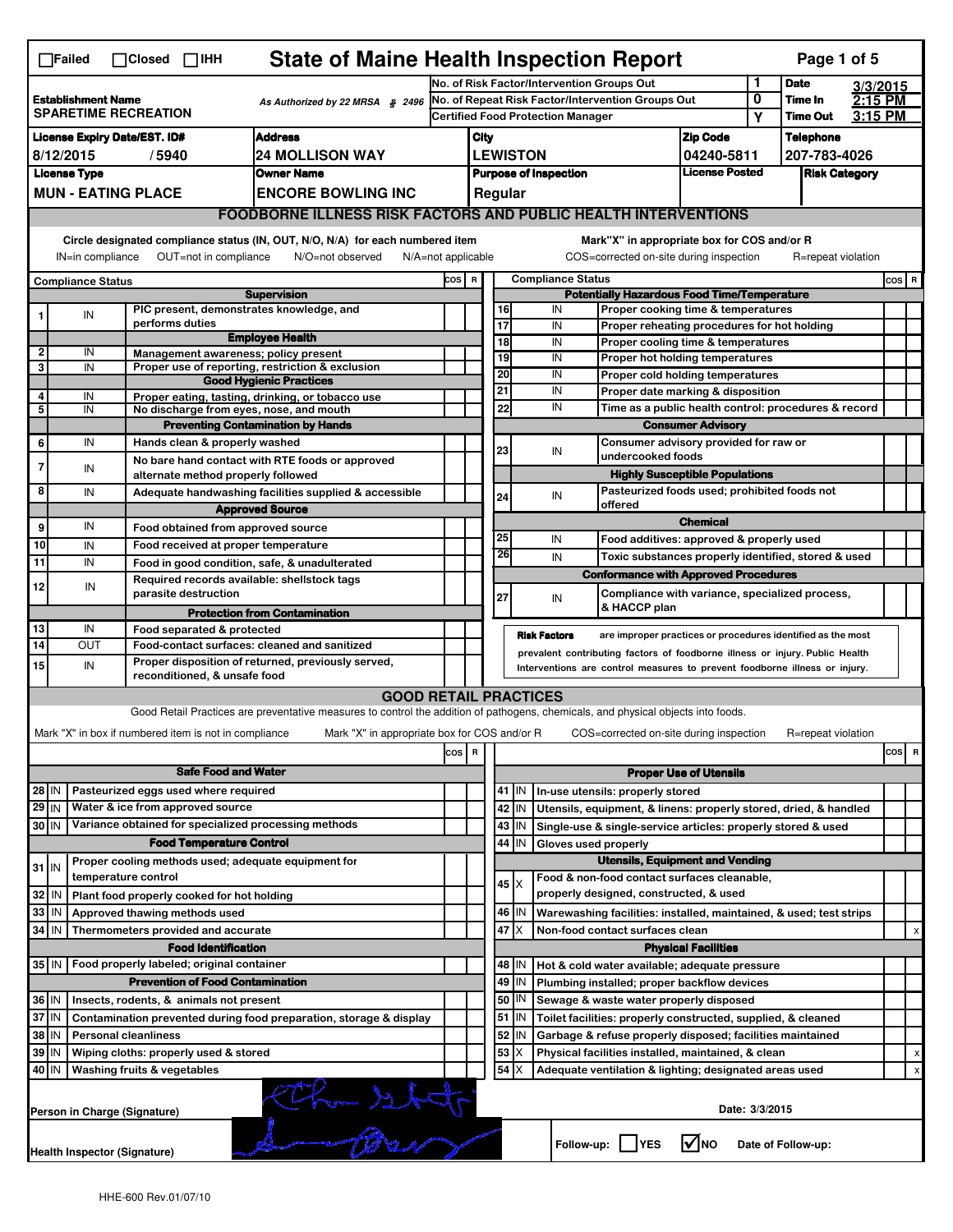|                                                                                                                                                                           | <b>State of Maine Health Inspection Report</b><br>$\Box$ Failed<br>Page 1 of 5<br>$\Box$ Closed<br>$\Box$ IHH |                              |                                                       |                                                                                                                                   |                                                                                          |                                 |                                                                                   |                     |                                                                                        |                                                      |                                          |                    |                                                             |  |     |                           |
|---------------------------------------------------------------------------------------------------------------------------------------------------------------------------|---------------------------------------------------------------------------------------------------------------|------------------------------|-------------------------------------------------------|-----------------------------------------------------------------------------------------------------------------------------------|------------------------------------------------------------------------------------------|---------------------------------|-----------------------------------------------------------------------------------|---------------------|----------------------------------------------------------------------------------------|------------------------------------------------------|------------------------------------------|--------------------|-------------------------------------------------------------|--|-----|---------------------------|
|                                                                                                                                                                           |                                                                                                               |                              |                                                       | No. of Risk Factor/Intervention Groups Out                                                                                        |                                                                                          |                                 |                                                                                   |                     |                                                                                        | 1                                                    | <b>Date</b>                              | 3/3/2015           |                                                             |  |     |                           |
| <b>Establishment Name</b><br><b>SPARETIME RECREATION</b>                                                                                                                  |                                                                                                               |                              |                                                       | As Authorized by 22 MRSA § 2496                                                                                                   |                                                                                          |                                 | No. of Repeat Risk Factor/Intervention Groups Out                                 |                     |                                                                                        | 0<br>Υ                                               | Time In<br>Time Out                      | 2:15 PM<br>3:15 PM |                                                             |  |     |                           |
|                                                                                                                                                                           |                                                                                                               |                              |                                                       | <b>Certified Food Protection Manager</b>                                                                                          |                                                                                          |                                 |                                                                                   |                     |                                                                                        |                                                      |                                          |                    |                                                             |  |     |                           |
| <b>Address</b><br><b>License Expiry Date/EST. ID#</b><br><b>24 MOLLISON WAY</b>                                                                                           |                                                                                                               |                              |                                                       |                                                                                                                                   | <b>Zip Code</b><br>City                                                                  |                                 |                                                                                   |                     |                                                                                        | <b>Telephone</b>                                     |                                          |                    |                                                             |  |     |                           |
| 8/12/2015<br>/5940                                                                                                                                                        |                                                                                                               |                              |                                                       |                                                                                                                                   | <b>LEWISTON</b><br>04240-5811<br><b>License Posted</b><br><b>Purpose of Inspection</b>   |                                 |                                                                                   |                     |                                                                                        | 207-783-4026                                         |                                          |                    |                                                             |  |     |                           |
| <b>License Type</b><br><b>Owner Name</b><br><b>MUN - EATING PLACE</b><br><b>ENCORE BOWLING INC</b>                                                                        |                                                                                                               |                              |                                                       |                                                                                                                                   |                                                                                          | <b>Risk Category</b><br>Regular |                                                                                   |                     |                                                                                        |                                                      |                                          |                    |                                                             |  |     |                           |
|                                                                                                                                                                           |                                                                                                               |                              |                                                       |                                                                                                                                   |                                                                                          |                                 |                                                                                   |                     |                                                                                        |                                                      |                                          |                    |                                                             |  |     |                           |
|                                                                                                                                                                           | <b>FOODBORNE ILLNESS RISK FACTORS AND PUBLIC HEALTH INTERVENTIONS</b>                                         |                              |                                                       |                                                                                                                                   |                                                                                          |                                 |                                                                                   |                     |                                                                                        |                                                      |                                          |                    |                                                             |  |     |                           |
| Circle designated compliance status (IN, OUT, N/O, N/A) for each numbered item<br>OUT=not in compliance<br>N/O=not observed<br>IN=in compliance<br>$N/A = not$ applicable |                                                                                                               |                              |                                                       |                                                                                                                                   |                                                                                          |                                 |                                                                                   |                     | Mark"X" in appropriate box for COS and/or R<br>COS=corrected on-site during inspection |                                                      |                                          |                    | R=repeat violation                                          |  |     |                           |
|                                                                                                                                                                           | <b>Compliance Status</b>                                                                                      |                              |                                                       |                                                                                                                                   | COS R                                                                                    | <b>Compliance Status</b>        |                                                                                   |                     |                                                                                        |                                                      |                                          |                    | cos R                                                       |  |     |                           |
| <b>Supervision</b><br>PIC present, demonstrates knowledge, and                                                                                                            |                                                                                                               |                              |                                                       |                                                                                                                                   | <b>Potentially Hazardous Food Time/Temperature</b><br>Proper cooking time & temperatures |                                 |                                                                                   |                     |                                                                                        |                                                      |                                          |                    |                                                             |  |     |                           |
| 1                                                                                                                                                                         | IN                                                                                                            |                              | performs duties                                       |                                                                                                                                   |                                                                                          |                                 | 16<br>17                                                                          |                     | IN<br>IN                                                                               |                                                      |                                          |                    | Proper reheating procedures for hot holding                 |  |     |                           |
|                                                                                                                                                                           |                                                                                                               |                              |                                                       | <b>Employee Health</b>                                                                                                            |                                                                                          |                                 | 18                                                                                |                     | IN                                                                                     |                                                      |                                          |                    |                                                             |  |     |                           |
| $\mathbf{2}$                                                                                                                                                              | IN                                                                                                            |                              |                                                       | Management awareness; policy present                                                                                              |                                                                                          |                                 | Proper cooling time & temperatures<br>19<br>IN<br>Proper hot holding temperatures |                     |                                                                                        |                                                      |                                          |                    |                                                             |  |     |                           |
| 3                                                                                                                                                                         | IN                                                                                                            |                              |                                                       | Proper use of reporting, restriction & exclusion<br><b>Good Hygienic Practices</b>                                                |                                                                                          |                                 | 20                                                                                |                     | IN                                                                                     | Proper cold holding temperatures                     |                                          |                    |                                                             |  |     |                           |
| 4                                                                                                                                                                         | IN                                                                                                            |                              |                                                       | Proper eating, tasting, drinking, or tobacco use                                                                                  |                                                                                          |                                 | 21                                                                                |                     | IN                                                                                     | Proper date marking & disposition                    |                                          |                    |                                                             |  |     |                           |
| 5                                                                                                                                                                         | $\overline{IN}$                                                                                               |                              |                                                       | No discharge from eyes, nose, and mouth                                                                                           |                                                                                          |                                 | 22                                                                                |                     | IN                                                                                     | Time as a public health control: procedures & record |                                          |                    |                                                             |  |     |                           |
|                                                                                                                                                                           |                                                                                                               |                              |                                                       | <b>Preventing Contamination by Hands</b>                                                                                          |                                                                                          |                                 |                                                                                   |                     |                                                                                        |                                                      | <b>Consumer Advisory</b>                 |                    |                                                             |  |     |                           |
| 6                                                                                                                                                                         | IN                                                                                                            |                              | Hands clean & properly washed                         |                                                                                                                                   |                                                                                          |                                 | 23                                                                                |                     | IN                                                                                     |                                                      | Consumer advisory provided for raw or    |                    |                                                             |  |     |                           |
| 7                                                                                                                                                                         | IN                                                                                                            |                              |                                                       | No bare hand contact with RTE foods or approved                                                                                   |                                                                                          |                                 |                                                                                   |                     |                                                                                        | undercooked foods                                    |                                          |                    |                                                             |  |     |                           |
|                                                                                                                                                                           |                                                                                                               |                              | alternate method properly followed                    |                                                                                                                                   |                                                                                          |                                 |                                                                                   |                     |                                                                                        |                                                      | <b>Highly Susceptible Populations</b>    |                    | Pasteurized foods used; prohibited foods not                |  |     |                           |
| 8                                                                                                                                                                         | IN                                                                                                            |                              |                                                       | Adequate handwashing facilities supplied & accessible                                                                             |                                                                                          |                                 | 24                                                                                |                     | IN<br>offered                                                                          |                                                      |                                          |                    |                                                             |  |     |                           |
|                                                                                                                                                                           | IN                                                                                                            |                              |                                                       | <b>Approved Source</b>                                                                                                            |                                                                                          |                                 | <b>Chemical</b>                                                                   |                     |                                                                                        |                                                      |                                          |                    |                                                             |  |     |                           |
| 9                                                                                                                                                                         |                                                                                                               |                              | Food obtained from approved source                    |                                                                                                                                   |                                                                                          |                                 | 25                                                                                |                     | IN                                                                                     |                                                      | Food additives: approved & properly used |                    |                                                             |  |     |                           |
| 10                                                                                                                                                                        | IN<br>IN                                                                                                      |                              | Food received at proper temperature                   |                                                                                                                                   |                                                                                          |                                 | 26                                                                                |                     | IN                                                                                     |                                                      |                                          |                    | Toxic substances properly identified, stored & used         |  |     |                           |
| 11                                                                                                                                                                        |                                                                                                               |                              |                                                       | Food in good condition, safe, & unadulterated<br>Required records available: shellstock tags                                      |                                                                                          |                                 |                                                                                   |                     | <b>Conformance with Approved Procedures</b>                                            |                                                      |                                          |                    |                                                             |  |     |                           |
| 12                                                                                                                                                                        | IN                                                                                                            |                              | parasite destruction                                  |                                                                                                                                   |                                                                                          |                                 | 27                                                                                |                     | IN                                                                                     |                                                      |                                          |                    | Compliance with variance, specialized process,              |  |     |                           |
|                                                                                                                                                                           |                                                                                                               |                              |                                                       | <b>Protection from Contamination</b>                                                                                              |                                                                                          |                                 |                                                                                   |                     | & HACCP plan                                                                           |                                                      |                                          |                    |                                                             |  |     |                           |
| 13                                                                                                                                                                        | IN                                                                                                            |                              | Food separated & protected                            |                                                                                                                                   |                                                                                          |                                 |                                                                                   | <b>Risk Factors</b> |                                                                                        |                                                      |                                          |                    | are improper practices or procedures identified as the most |  |     |                           |
| 14<br>OUT<br>Food-contact surfaces: cleaned and sanitized                                                                                                                 |                                                                                                               |                              |                                                       |                                                                                                                                   |                                                                                          |                                 | prevalent contributing factors of foodborne illness or injury. Public Health      |                     |                                                                                        |                                                      |                                          |                    |                                                             |  |     |                           |
| 15                                                                                                                                                                        | IN                                                                                                            |                              |                                                       | Proper disposition of returned, previously served,                                                                                |                                                                                          |                                 |                                                                                   |                     | Interventions are control measures to prevent foodborne illness or injury.             |                                                      |                                          |                    |                                                             |  |     |                           |
|                                                                                                                                                                           |                                                                                                               |                              | reconditioned, & unsafe food                          |                                                                                                                                   |                                                                                          |                                 |                                                                                   |                     |                                                                                        |                                                      |                                          |                    |                                                             |  |     |                           |
|                                                                                                                                                                           |                                                                                                               |                              |                                                       | <b>GOOD RETAIL PRACTICES</b>                                                                                                      |                                                                                          |                                 |                                                                                   |                     |                                                                                        |                                                      |                                          |                    |                                                             |  |     |                           |
|                                                                                                                                                                           |                                                                                                               |                              |                                                       | Good Retail Practices are preventative measures to control the addition of pathogens, chemicals, and physical objects into foods. |                                                                                          |                                 |                                                                                   |                     |                                                                                        |                                                      |                                          |                    |                                                             |  |     |                           |
|                                                                                                                                                                           |                                                                                                               |                              | Mark "X" in box if numbered item is not in compliance | Mark "X" in appropriate box for COS and/or R                                                                                      |                                                                                          |                                 |                                                                                   |                     | COS=corrected on-site during inspection                                                |                                                      |                                          |                    | R=repeat violation                                          |  |     |                           |
|                                                                                                                                                                           |                                                                                                               |                              |                                                       |                                                                                                                                   | cos R                                                                                    |                                 |                                                                                   |                     |                                                                                        |                                                      |                                          |                    |                                                             |  | cos | R                         |
|                                                                                                                                                                           |                                                                                                               |                              | <b>Safe Food and Water</b>                            |                                                                                                                                   |                                                                                          |                                 |                                                                                   |                     |                                                                                        |                                                      | <b>Proper Use of Utensils</b>            |                    |                                                             |  |     |                           |
| 28 IN                                                                                                                                                                     |                                                                                                               |                              | Pasteurized eggs used where required                  |                                                                                                                                   |                                                                                          |                                 |                                                                                   | $41$ IN             | In-use utensils: properly stored                                                       |                                                      |                                          |                    |                                                             |  |     |                           |
| $29$ IN                                                                                                                                                                   |                                                                                                               |                              | Water & ice from approved source                      |                                                                                                                                   |                                                                                          |                                 |                                                                                   | 42 IN               | Utensils, equipment, & linens: properly stored, dried, & handled                       |                                                      |                                          |                    |                                                             |  |     |                           |
| 30 IN                                                                                                                                                                     |                                                                                                               |                              |                                                       | Variance obtained for specialized processing methods                                                                              |                                                                                          |                                 |                                                                                   | 43   IN             | Single-use & single-service articles: properly stored & used                           |                                                      |                                          |                    |                                                             |  |     |                           |
|                                                                                                                                                                           |                                                                                                               |                              | <b>Food Temperature Control</b>                       |                                                                                                                                   |                                                                                          |                                 |                                                                                   | 44 I IN             | Gloves used properly                                                                   |                                                      |                                          |                    |                                                             |  |     |                           |
| $31$ IN                                                                                                                                                                   |                                                                                                               |                              |                                                       | Proper cooling methods used; adequate equipment for                                                                               |                                                                                          |                                 |                                                                                   |                     |                                                                                        |                                                      | <b>Utensils, Equipment and Vending</b>   |                    |                                                             |  |     |                           |
|                                                                                                                                                                           |                                                                                                               | temperature control          |                                                       |                                                                                                                                   |                                                                                          |                                 | $45 \times$                                                                       |                     | Food & non-food contact surfaces cleanable,                                            |                                                      |                                          |                    |                                                             |  |     |                           |
| 32 IN                                                                                                                                                                     |                                                                                                               |                              | Plant food properly cooked for hot holding            |                                                                                                                                   |                                                                                          |                                 |                                                                                   |                     | properly designed, constructed, & used                                                 |                                                      |                                          |                    |                                                             |  |     |                           |
| 33 IN                                                                                                                                                                     |                                                                                                               |                              | Approved thawing methods used                         |                                                                                                                                   |                                                                                          |                                 |                                                                                   | 46   IN             | Warewashing facilities: installed, maintained, & used; test strips                     |                                                      |                                          |                    |                                                             |  |     |                           |
| 34 IN                                                                                                                                                                     |                                                                                                               |                              | Thermometers provided and accurate                    |                                                                                                                                   |                                                                                          |                                 | 47                                                                                | X                   | Non-food contact surfaces clean                                                        |                                                      |                                          |                    |                                                             |  |     | $\boldsymbol{\mathsf{x}}$ |
|                                                                                                                                                                           |                                                                                                               |                              | <b>Food Identification</b>                            |                                                                                                                                   |                                                                                          |                                 |                                                                                   |                     |                                                                                        |                                                      | <b>Physical Facilities</b>               |                    |                                                             |  |     |                           |
| $35$ IN                                                                                                                                                                   |                                                                                                               |                              | Food properly labeled; original container             |                                                                                                                                   |                                                                                          |                                 |                                                                                   | 48   IN             | Hot & cold water available; adequate pressure                                          |                                                      |                                          |                    |                                                             |  |     |                           |
|                                                                                                                                                                           |                                                                                                               |                              | <b>Prevention of Food Contamination</b>               |                                                                                                                                   |                                                                                          |                                 |                                                                                   | 49 IN               | Plumbing installed; proper backflow devices                                            |                                                      |                                          |                    |                                                             |  |     |                           |
|                                                                                                                                                                           | 36 IN<br>Insects, rodents, & animals not present                                                              |                              |                                                       |                                                                                                                                   |                                                                                          |                                 |                                                                                   | 50   IN             | Sewage & waste water properly disposed                                                 |                                                      |                                          |                    |                                                             |  |     |                           |
|                                                                                                                                                                           | 37 IN<br>Contamination prevented during food preparation, storage & display                                   |                              |                                                       |                                                                                                                                   |                                                                                          |                                 |                                                                                   | $51$   IN           | Toilet facilities: properly constructed, supplied, & cleaned                           |                                                      |                                          |                    |                                                             |  |     |                           |
|                                                                                                                                                                           | 38   IN<br><b>Personal cleanliness</b><br>39 IN                                                               |                              |                                                       |                                                                                                                                   |                                                                                          |                                 | 53                                                                                | 52   IN             | Garbage & refuse properly disposed; facilities maintained                              |                                                      |                                          |                    |                                                             |  |     |                           |
|                                                                                                                                                                           | Wiping cloths: properly used & stored<br>40 IN<br>Washing fruits & vegetables                                 |                              |                                                       |                                                                                                                                   |                                                                                          |                                 |                                                                                   | Х<br>$54$ $\times$  | Physical facilities installed, maintained, & clean                                     |                                                      |                                          |                    |                                                             |  |     | x                         |
|                                                                                                                                                                           |                                                                                                               |                              |                                                       |                                                                                                                                   |                                                                                          |                                 |                                                                                   |                     | Adequate ventilation & lighting; designated areas used                                 |                                                      |                                          |                    |                                                             |  |     | x                         |
|                                                                                                                                                                           | Took of my<br>Date: 3/3/2015<br>Person in Charge (Signature)                                                  |                              |                                                       |                                                                                                                                   |                                                                                          |                                 |                                                                                   |                     |                                                                                        |                                                      |                                          |                    |                                                             |  |     |                           |
|                                                                                                                                                                           |                                                                                                               | Health Inspector (Signature) |                                                       |                                                                                                                                   |                                                                                          |                                 |                                                                                   |                     | Follow-up:  <br><b>YES</b>                                                             |                                                      | l√lno                                    |                    | Date of Follow-up:                                          |  |     |                           |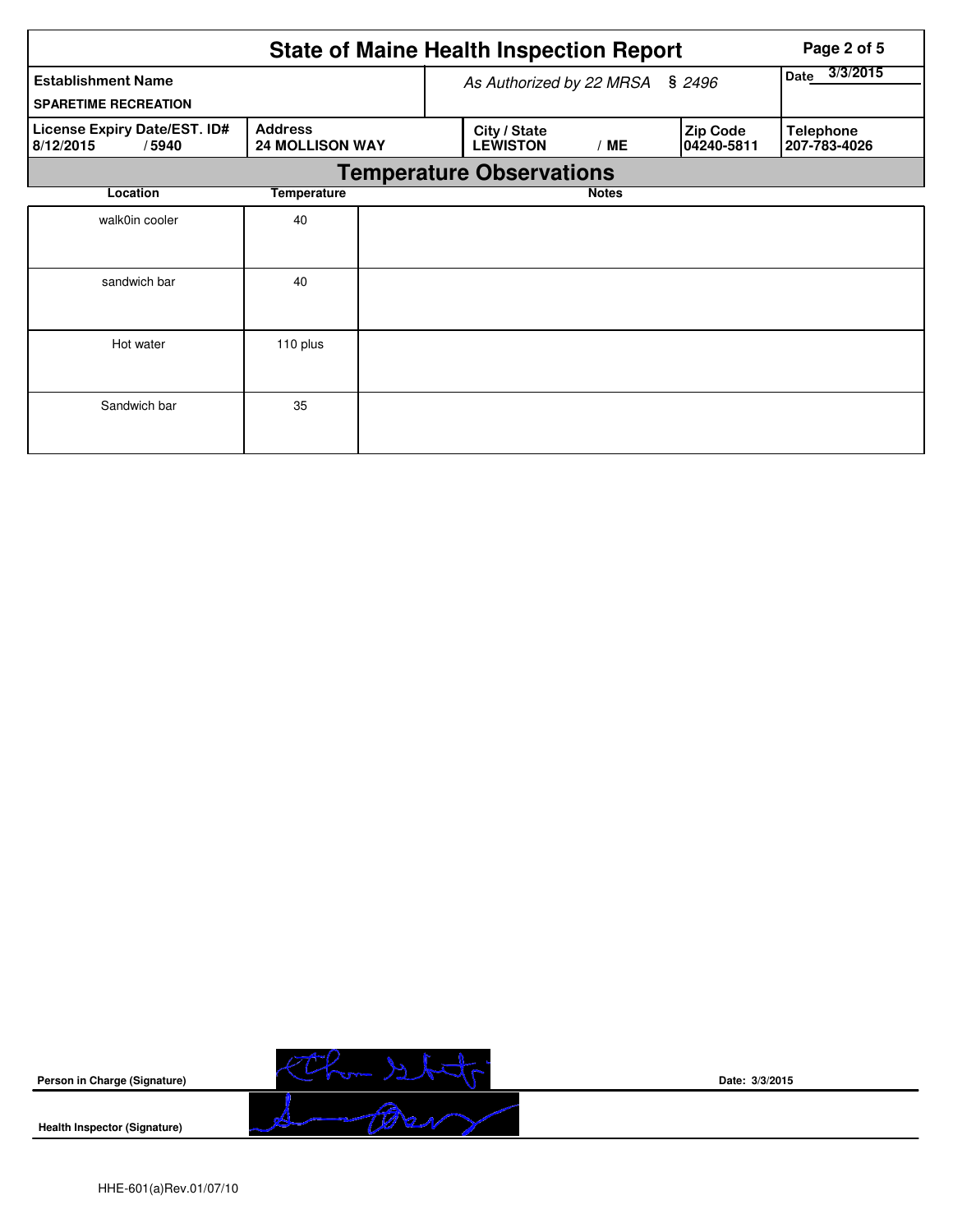|                                                    |                                          |  | <b>State of Maine Health Inspection Report</b> | Page 2 of 5      |                               |                                  |
|----------------------------------------------------|------------------------------------------|--|------------------------------------------------|------------------|-------------------------------|----------------------------------|
| <b>Establishment Name</b>                          |                                          |  | As Authorized by 22 MRSA                       | 3/3/2015<br>Date |                               |                                  |
| <b>SPARETIME RECREATION</b>                        |                                          |  |                                                |                  |                               |                                  |
| License Expiry Date/EST. ID#<br>8/12/2015<br>/5940 | <b>Address</b><br><b>24 MOLLISON WAY</b> |  | City / State<br><b>LEWISTON</b>                | /ME              | <b>Zip Code</b><br>04240-5811 | <b>Telephone</b><br>207-783-4026 |
|                                                    |                                          |  | <b>Temperature Observations</b>                |                  |                               |                                  |
| Location                                           | Temperature                              |  |                                                | <b>Notes</b>     |                               |                                  |
| walk0in cooler                                     | 40                                       |  |                                                |                  |                               |                                  |
| sandwich bar                                       | 40                                       |  |                                                |                  |                               |                                  |
| Hot water                                          | 110 plus                                 |  |                                                |                  |                               |                                  |
| Sandwich bar                                       | 35                                       |  |                                                |                  |                               |                                  |



**Date: 3/3/2015**

**Health Inspector (Signature)**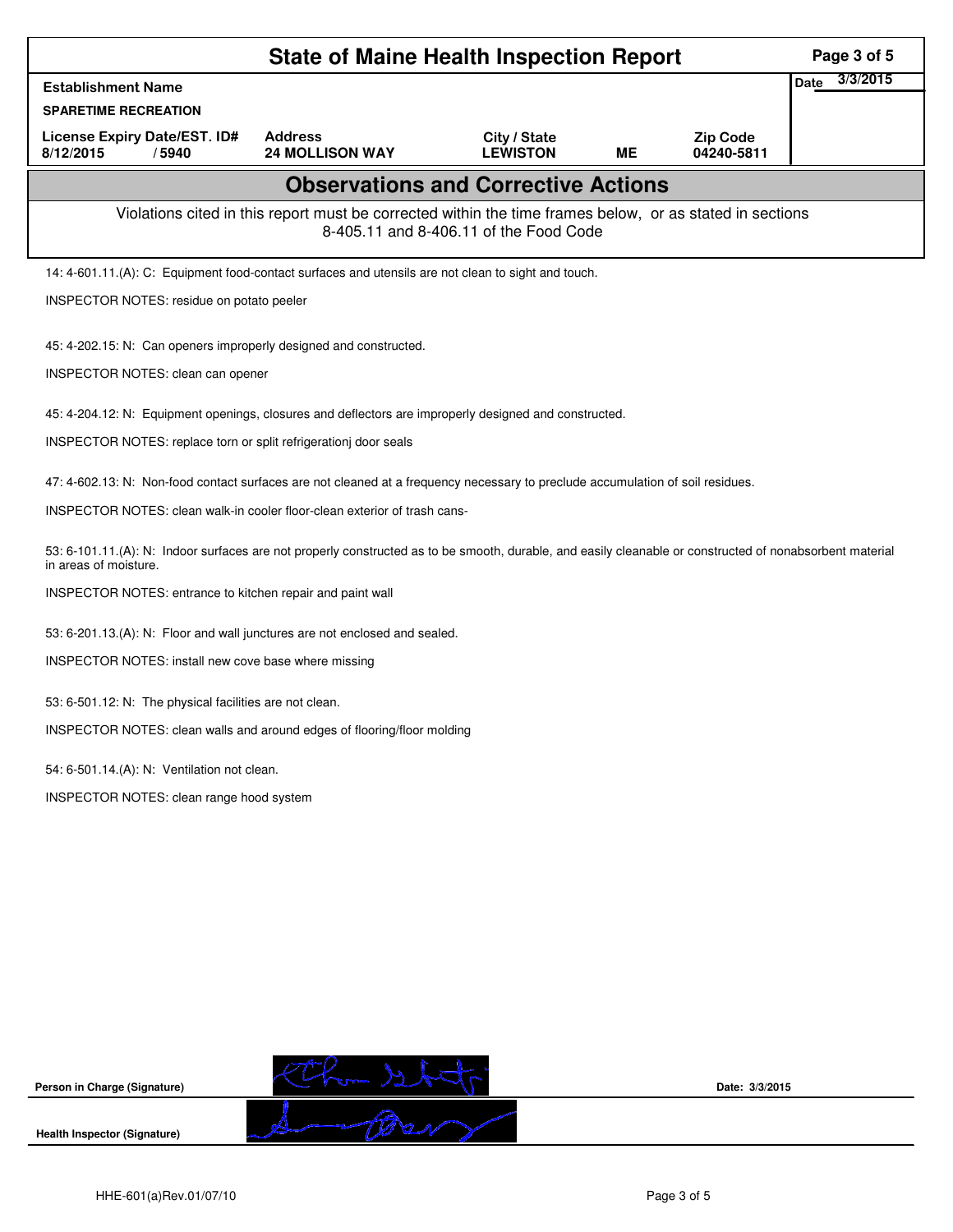| <b>State of Maine Health Inspection Report</b>                                                                                                                                    |                                                                                                          |                                        |           |                               |                  |  |  |
|-----------------------------------------------------------------------------------------------------------------------------------------------------------------------------------|----------------------------------------------------------------------------------------------------------|----------------------------------------|-----------|-------------------------------|------------------|--|--|
| <b>Establishment Name</b>                                                                                                                                                         |                                                                                                          |                                        |           |                               | 3/3/2015<br>Date |  |  |
| <b>SPARETIME RECREATION</b>                                                                                                                                                       |                                                                                                          |                                        |           |                               |                  |  |  |
| License Expiry Date/EST. ID#<br>8/12/2015<br>/5940                                                                                                                                | <b>Address</b><br><b>24 MOLLISON WAY</b>                                                                 | City / State<br><b>LEWISTON</b>        | <b>ME</b> | <b>Zip Code</b><br>04240-5811 |                  |  |  |
|                                                                                                                                                                                   | <b>Observations and Corrective Actions</b>                                                               |                                        |           |                               |                  |  |  |
|                                                                                                                                                                                   | Violations cited in this report must be corrected within the time frames below, or as stated in sections | 8-405.11 and 8-406.11 of the Food Code |           |                               |                  |  |  |
| 14: 4-601.11.(A): C: Equipment food-contact surfaces and utensils are not clean to sight and touch.                                                                               |                                                                                                          |                                        |           |                               |                  |  |  |
| INSPECTOR NOTES: residue on potato peeler                                                                                                                                         |                                                                                                          |                                        |           |                               |                  |  |  |
| 45: 4-202.15: N: Can openers improperly designed and constructed.                                                                                                                 |                                                                                                          |                                        |           |                               |                  |  |  |
| INSPECTOR NOTES: clean can opener                                                                                                                                                 |                                                                                                          |                                        |           |                               |                  |  |  |
| 45: 4-204.12: N: Equipment openings, closures and deflectors are improperly designed and constructed.                                                                             |                                                                                                          |                                        |           |                               |                  |  |  |
| INSPECTOR NOTES: replace torn or split refrigerationj door seals                                                                                                                  |                                                                                                          |                                        |           |                               |                  |  |  |
| 47: 4-602.13: N: Non-food contact surfaces are not cleaned at a frequency necessary to preclude accumulation of soil residues.                                                    |                                                                                                          |                                        |           |                               |                  |  |  |
| INSPECTOR NOTES: clean walk-in cooler floor-clean exterior of trash cans-                                                                                                         |                                                                                                          |                                        |           |                               |                  |  |  |
| 53: 6-101.11.(A): N: Indoor surfaces are not properly constructed as to be smooth, durable, and easily cleanable or constructed of nonabsorbent material<br>in areas of moisture. |                                                                                                          |                                        |           |                               |                  |  |  |
| INSPECTOR NOTES: entrance to kitchen repair and paint wall                                                                                                                        |                                                                                                          |                                        |           |                               |                  |  |  |
| 53: 6-201.13.(A): N: Floor and wall junctures are not enclosed and sealed.                                                                                                        |                                                                                                          |                                        |           |                               |                  |  |  |
| INSPECTOR NOTES: install new cove base where missing                                                                                                                              |                                                                                                          |                                        |           |                               |                  |  |  |
| 53: 6-501.12: N: The physical facilities are not clean.                                                                                                                           |                                                                                                          |                                        |           |                               |                  |  |  |
| INSPECTOR NOTES: clean walls and around edges of flooring/floor molding                                                                                                           |                                                                                                          |                                        |           |                               |                  |  |  |
| 54: 6-501.14.(A): N: Ventilation not clean.                                                                                                                                       |                                                                                                          |                                        |           |                               |                  |  |  |
| INSPECTOR NOTES: clean range hood system                                                                                                                                          |                                                                                                          |                                        |           |                               |                  |  |  |
|                                                                                                                                                                                   |                                                                                                          |                                        |           |                               |                  |  |  |
|                                                                                                                                                                                   |                                                                                                          |                                        |           |                               |                  |  |  |
|                                                                                                                                                                                   |                                                                                                          |                                        |           |                               |                  |  |  |
|                                                                                                                                                                                   |                                                                                                          |                                        |           |                               |                  |  |  |

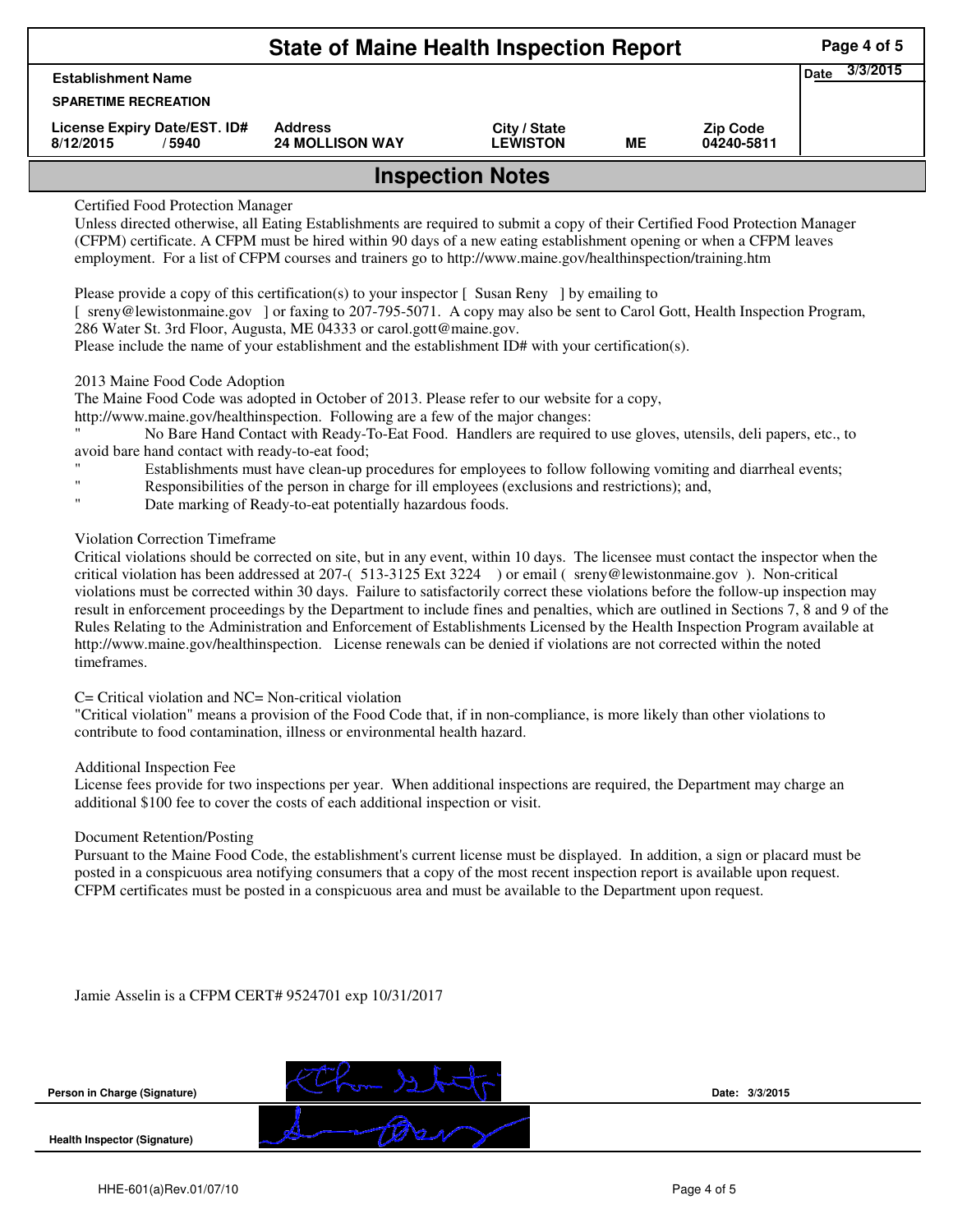| <b>State of Maine Health Inspection Report</b>     |                                          |                                 |    |                               |                         |  |  |  |  |
|----------------------------------------------------|------------------------------------------|---------------------------------|----|-------------------------------|-------------------------|--|--|--|--|
| <b>Establishment Name</b>                          |                                          |                                 |    |                               | 3/3/2015<br><b>Date</b> |  |  |  |  |
| <b>SPARETIME RECREATION</b>                        |                                          |                                 |    |                               |                         |  |  |  |  |
| License Expiry Date/EST. ID#<br>8/12/2015<br>/5940 | <b>Address</b><br><b>24 MOLLISON WAY</b> | City / State<br><b>LEWISTON</b> | МE | <b>Zip Code</b><br>04240-5811 |                         |  |  |  |  |
| <b>Inspection Notes</b>                            |                                          |                                 |    |                               |                         |  |  |  |  |

## Certified Food Protection Manager

Unless directed otherwise, all Eating Establishments are required to submit a copy of their Certified Food Protection Manager (CFPM) certificate. A CFPM must be hired within 90 days of a new eating establishment opening or when a CFPM leaves employment. For a list of CFPM courses and trainers go to http://www.maine.gov/healthinspection/training.htm

Please provide a copy of this certification(s) to your inspector [ Susan Reny ] by emailing to

[ sreny@lewistonmaine.gov ] or faxing to 207-795-5071. A copy may also be sent to Carol Gott, Health Inspection Program, 286 Water St. 3rd Floor, Augusta, ME 04333 or carol.gott@maine.gov.

Please include the name of your establishment and the establishment ID# with your certification(s).

### 2013 Maine Food Code Adoption

The Maine Food Code was adopted in October of 2013. Please refer to our website for a copy,

http://www.maine.gov/healthinspection. Following are a few of the major changes:

" No Bare Hand Contact with Ready-To-Eat Food. Handlers are required to use gloves, utensils, deli papers, etc., to avoid bare hand contact with ready-to-eat food;

- Establishments must have clean-up procedures for employees to follow following vomiting and diarrheal events;
- Responsibilities of the person in charge for ill employees (exclusions and restrictions); and,
- Date marking of Ready-to-eat potentially hazardous foods.

## Violation Correction Timeframe

Critical violations should be corrected on site, but in any event, within 10 days. The licensee must contact the inspector when the critical violation has been addressed at 207-( 513-3125 Ext 3224 ) or email ( sreny@lewistonmaine.gov ). Non-critical violations must be corrected within 30 days. Failure to satisfactorily correct these violations before the follow-up inspection may result in enforcement proceedings by the Department to include fines and penalties, which are outlined in Sections 7, 8 and 9 of the Rules Relating to the Administration and Enforcement of Establishments Licensed by the Health Inspection Program available at http://www.maine.gov/healthinspection. License renewals can be denied if violations are not corrected within the noted timeframes.

### C= Critical violation and NC= Non-critical violation

"Critical violation" means a provision of the Food Code that, if in non-compliance, is more likely than other violations to contribute to food contamination, illness or environmental health hazard.

#### Additional Inspection Fee

License fees provide for two inspections per year. When additional inspections are required, the Department may charge an additional \$100 fee to cover the costs of each additional inspection or visit.

#### Document Retention/Posting

Pursuant to the Maine Food Code, the establishment's current license must be displayed. In addition, a sign or placard must be posted in a conspicuous area notifying consumers that a copy of the most recent inspection report is available upon request. CFPM certificates must be posted in a conspicuous area and must be available to the Department upon request.

Jamie Asselin is a CFPM CERT# 9524701 exp 10/31/2017